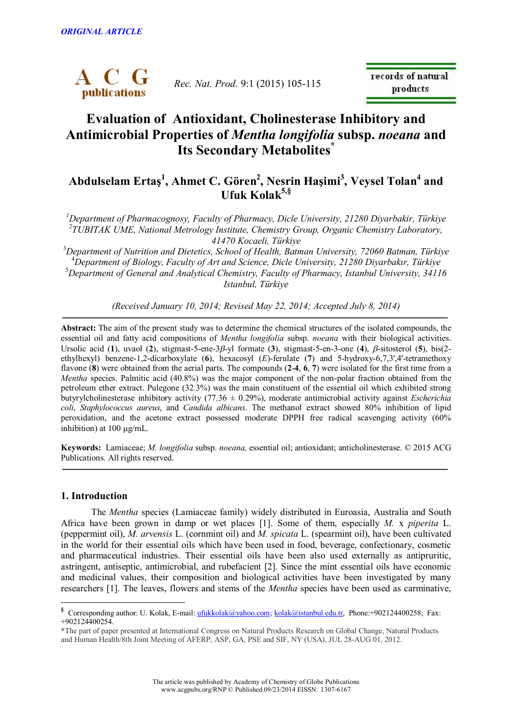

*Rec. Nat. Prod*. 9:1 (2015) 105-115

records of natural products

# **Evaluation of Antioxidant, Cholinesterase Inhibitory and Antimicrobial Properties of** *Mentha longifolia* **subsp.** *noeana* **and Its Secondary Metabolites \***

## **Abdulselam Ertaş 1 , Ahmet C. Gören 2 , Nesrin Haşimi 3 , Veysel Tolan 4 and Ufuk Kolak 5,§**

*<sup>1</sup>Department of Pharmacognosy, Faculty of Pharmacy, Dicle University, 21280 Diyarbakir, Türkiye* 2 *TUBITAK UME, National Metrology Institute, Chemistry Group, Organic Chemistry Laboratory, 41470 Kocaeli, Türkiye*

*Department of Nutrition and Dietetics, School of Health, Batman University, 72060 Batman, Türkiye Department of Biology, Faculty of Art and Science, Dicle University, 21280 Diyarbakır, Türkiye Department of General and Analytical Chemistry, Faculty of Pharmacy, Istanbul University, 34116 Istanbul, Türkiye*

*(Received January 10, 2014; Revised May 22, 2014; Accepted July 8, 2014)*

**Abstract:** The aim of the present study was to determine the chemical structures of the isolated compounds, the essential oil and fatty acid compositions of *Mentha longifolia* subsp. *noeana* with their biological activities. Ursolic acid (1), uvaol (2), stigmast-5-ene-3 $\beta$ -yl formate (3), stigmast-5-en-3-one (4),  $\beta$ -sitosterol (5), bis(2ethylhexyl) benzene-1,2-dicarboxylate (**6**), hexacosyl (*E*)-ferulate (**7**) and 5-hydroxy-6,7,3',4'-tetramethoxy flavone (**8**) were obtained from the aerial parts. The compounds (**2**-**4**, **6**, **7**) were isolated for the first time from a *Mentha* species. Palmitic acid (40.8%) was the major component of the non-polar fraction obtained from the petroleum ether extract. Pulegone (32.3%) was the main constituent of the essential oil which exhibited strong butyrylcholinesterase inhibitory activity (77.36 ± 0.29%), moderate antimicrobial activity against *Escherichia coli*, *Staphylococcus aureus*, and *Candida albicans*. The methanol extract showed 80% inhibition of lipid peroxidation, and the acetone extract possessed moderate DPPH free radical scavenging activity (60% inhibition) at  $100 \mu g/mL$ .

**Keywords:** Lamiaceae; *M. longifolia* subsp. *noeana,* essential oil; antioxidant; anticholinesterase. © 2015 ACG Publications. All rights reserved.

## **1. Introduction**

The *Mentha* species (Lamiaceae family) widely distributed in Euroasia, Australia and South Africa have been grown in damp or wet places [1]. Some of them, especially *M.* x *piperita* L. (peppermint oil), *M. arvensis* L. (cornmint oil) and *M. spicata* L. (spearmint oil), have been cultivated in the world for their essential oils which have been used in food, beverage, confectionary, cosmetic and pharmaceutical industries. Their essential oils have been also used externally as antipruritic, astringent, antiseptic, antimicrobial, and rubefacient [2]. Since the mint essential oils have economic and medicinal values, their composition and biological activities have been investigated by many researchers [1]. The leaves, flowers and stems of the *Mentha* species have been used as carminative,

<sup>§</sup> Corresponding author: U. Kolak, E-mail: ufukkolak@yahoo.com; kolak@istanbul.edu.tr, Phone:+902124400258; Fax: +902124400254.

<sup>\*</sup>The part of paper presented at International Congress on Natural Products Research on Global Change, Natural Products and Human Health/8th Joint Meeting of AFERP, ASP, GA, PSE and SIF, NY (USA), JUL 28-AUG 01, 2012.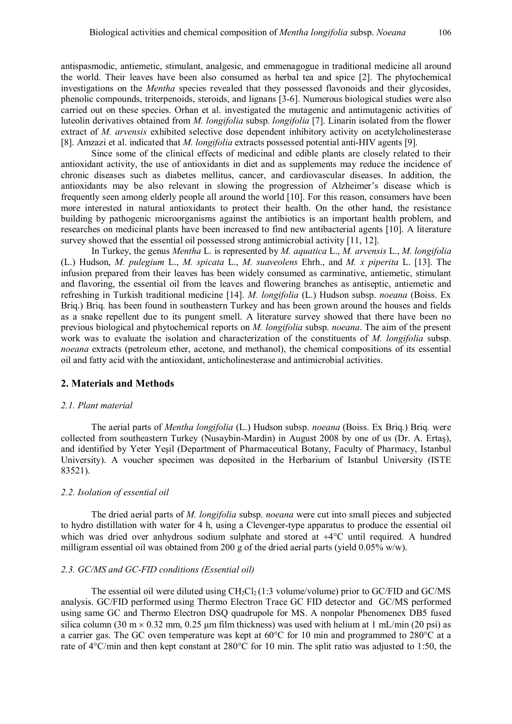antispasmodic, antiemetic, stimulant, analgesic, and emmenagogue in traditional medicine all around the world. Their leaves have been also consumed as herbal tea and spice [2]. The phytochemical investigations on the *Mentha* species revealed that they possessed flavonoids and their glycosides, phenolic compounds, triterpenoids, steroids, and lignans [3-6]. Numerous biological studies were also carried out on these species. Orhan et al. investigated the mutagenic and antimutagenic activities of luteolin derivatives obtained from *M. longifolia* subsp. *longifolia* [7]. Linarin isolated from the flower extract of *M. arvensis* exhibited selective dose dependent inhibitory activity on acetylcholinesterase [8]. Amzazi et al. indicated that *M. longifolia* extracts possessed potential anti-HIV agents [9].

Since some of the clinical effects of medicinal and edible plants are closely related to their antioxidant activity, the use of antioxidants in diet and as supplements may reduce the incidence of chronic diseases such as diabetes mellitus, cancer, and cardiovascular diseases. In addition, the antioxidants may be also relevant in slowing the progression of Alzheimer's disease which is frequently seen among elderly people all around the world [10]. For this reason, consumers have been more interested in natural antioxidants to protect their health. On the other hand, the resistance building by pathogenic microorganisms against the antibiotics is an important health problem, and researches on medicinal plants have been increased to find new antibacterial agents [10]. A literature survey showed that the essential oil possessed strong antimicrobial activity [11, 12].

In Turkey, the genus *Mentha* L. is represented by *M. aquatica* L., *M. arvensis* L., *M. longifolia* (L.) Hudson, *M. pulegium* L., *M. spicata* L., *M. suaveolens* Ehrh., and *M. x piperita* L. [13]. The infusion prepared from their leaves has been widely consumed as carminative, antiemetic, stimulant and flavoring, the essential oil from the leaves and flowering branches as antiseptic, antiemetic and refreshing in Turkish traditional medicine [14]. *M. longifolia* (L.) Hudson subsp. *noeana* (Boiss. Ex Briq.) Briq. has been found in southeastern Turkey and has been grown around the houses and fields as a snake repellent due to its pungent smell. A literature survey showed that there have been no previous biological and phytochemical reports on *M. longifolia* subsp. *noeana*. The aim of the present work was to evaluate the isolation and characterization of the constituents of *M. longifolia* subsp. *noeana* extracts (petroleum ether, acetone, and methanol), the chemical compositions of its essential oil and fatty acid with the antioxidant, anticholinesterase and antimicrobial activities.

### **2. Materials and Methods**

#### *2.1. Plant material*

The aerial parts of *Mentha longifolia* (L.) Hudson subsp. *noeana* (Boiss. Ex Briq.) Briq. were collected from southeastern Turkey (Nusaybin-Mardin) in August 2008 by one of us (Dr. A. Ertaş), and identified by Yeter Yeşil (Department of Pharmaceutical Botany, Faculty of Pharmacy, Istanbul University). A voucher specimen was deposited in the Herbarium of Istanbul University (ISTE 83521).

#### *2.2. Isolation of essential oil*

The dried aerial parts of *M. longifolia* subsp. *noeana* were cut into small pieces and subjected to hydro distillation with water for 4 h, using a Clevenger-type apparatus to produce the essential oil which was dried over anhydrous sodium sulphate and stored at  $+4^{\circ}$ C until required. A hundred milligram essential oil was obtained from 200 g of the dried aerial parts (yield  $0.05\%$  w/w).

#### *2.3. GC/MS and GC-FID conditions (Essential oil)*

The essential oil were diluted using  $CH<sub>2</sub>Cl<sub>2</sub> (1:3 volume/volume)$  prior to GC/FID and GC/MS analysis. GC/FID performed using Thermo Electron Trace GC FID detector and GC/MS performed using same GC and Thermo Electron DSQ quadrupole for MS. A nonpolar Phenomenex DB5 fused silica column (30 m  $\times$  0.32 mm, 0.25 µm film thickness) was used with helium at 1 mL/min (20 psi) as a carrier gas. The GC oven temperature was kept at 60°C for 10 min and programmed to 280°C at a rate of 4°C/min and then kept constant at 280°C for 10 min. The split ratio was adjusted to 1:50, the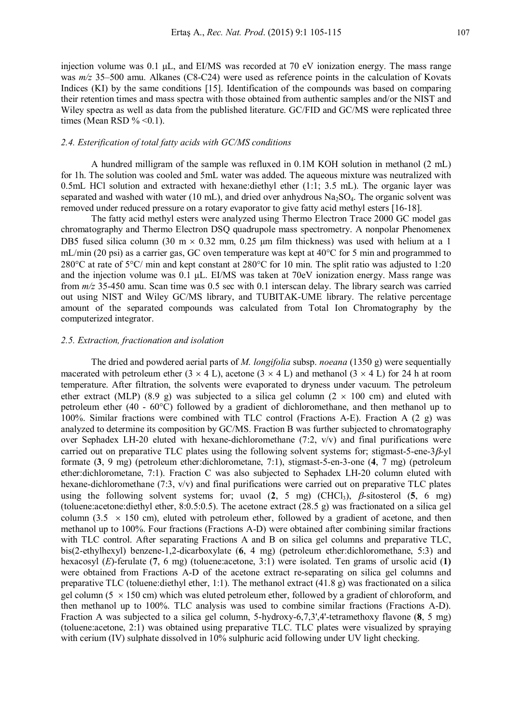injection volume was 0.1 μL, and EI/MS was recorded at 70 eV ionization energy. The mass range was  $m/z$  35–500 amu. Alkanes (C8-C24) were used as reference points in the calculation of Kovats Indices (KI) by the same conditions [15]. Identification of the compounds was based on comparing their retention times and mass spectra with those obtained from authentic samples and/or the NIST and Wiley spectra as well as data from the published literature. GC/FID and GC/MS were replicated three times (Mean RSD %  $<0.1$ ).

#### *2.4. Esterification of total fatty acids with GC/MS conditions*

A hundred milligram of the sample was refluxed in 0.1M KOH solution in methanol (2 mL) for 1h. The solution was cooled and 5mL water was added. The aqueous mixture was neutralized with 0.5mL HCl solution and extracted with hexane:diethyl ether  $(1:1; 3.5 \text{ mL})$ . The organic layer was separated and washed with water (10 mL), and dried over anhydrous Na<sub>2</sub>SO<sub>4</sub>. The organic solvent was removed under reduced pressure on a rotary evaporator to give fatty acid methyl esters [16-18].

The fatty acid methyl esters were analyzed using Thermo Electron Trace 2000 GC model gas chromatography and Thermo Electron DSQ quadrupole mass spectrometry. A nonpolar Phenomenex DB5 fused silica column (30 m  $\times$  0.32 mm, 0.25 um film thickness) was used with helium at a 1 mL/min (20 psi) as a carrier gas, GC oven temperature was kept at  $40^{\circ}$ C for 5 min and programmed to 280 $^{\circ}$ C at rate of 5 $^{\circ}$ C/ min and kept constant at 280 $^{\circ}$ C for 10 min. The split ratio was adjusted to 1:20 and the injection volume was 0.1 μL. EI/MS was taken at 70eV ionization energy. Mass range was from *m/z* 35-450 amu. Scan time was 0.5 sec with 0.1 interscan delay. The library search was carried out using NIST and Wiley GC/MS library, and TUBITAK-UME library. The relative percentage amount of the separated compounds was calculated from Total Ion Chromatography by the computerized integrator.

#### *2.5. Extraction, fractionation and isolation*

The dried and powdered aerial parts of *M. longifolia* subsp. *noeana* (1350 g) were sequentially macerated with petroleum ether  $(3 \times 4 \text{ L})$ , acetone  $(3 \times 4 \text{ L})$  and methanol  $(3 \times 4 \text{ L})$  for 24 h at room temperature. After filtration, the solvents were evaporated to dryness under vacuum. The petroleum ether extract (MLP) (8.9 g) was subjected to a silica gel column (2  $\times$  100 cm) and eluted with petroleum ether (40 - 60°C) followed by a gradient of dichloromethane, and then methanol up to 100%. Similar fractions were combined with TLC control (Fractions A-E). Fraction A (2 g) was analyzed to determine its composition by GC/MS. Fraction B was further subjected to chromatography over Sephadex LH-20 eluted with hexane-dichloromethane (7:2, v/v) and final purifications were carried out on preparative TLC plates using the following solvent systems for; stigmast-5-ene- $3\beta$ -vl formate (**3**, 9 mg) (petroleum ether:dichlorometane, 7:1), stigmast-5-en-3-one (**4**, 7 mg) (petroleum ether:dichlorometane, 7:1). Fraction C was also subjected to Sephadex LH-20 column eluted with hexane-dichloromethane (7:3, v/v) and final purifications were carried out on preparative TLC plates using the following solvent systems for; uvaol  $(2, 5 \text{ mg})$  (CHCl<sub>3</sub>),  $\beta$ -sitosterol  $(5, 6 \text{ mg})$ (toluene:acetone:diethyl ether, 8:0.5:0.5). The acetone extract (28.5 g) was fractionated on a silica gel column (3.5  $\times$  150 cm), eluted with petroleum ether, followed by a gradient of acetone, and then methanol up to 100%. Four fractions (Fractions A-D) were obtained after combining similar fractions with TLC control. After separating Fractions A and B on silica gel columns and preparative TLC, bis(2-ethylhexyl) benzene-1,2-dicarboxylate (**6**, 4 mg) (petroleum ether:dichloromethane, 5:3) and hexacosyl (*E*)-ferulate (**7**, 6 mg) (toluene:acetone, 3:1) were isolated. Ten grams of ursolic acid (**1)** were obtained from Fractions A-D of the acetone extract re-separating on silica gel columns and preparative TLC (toluene:diethyl ether, 1:1). The methanol extract (41.8 g) was fractionated on a silica gel column (5  $\times$  150 cm) which was eluted petroleum ether, followed by a gradient of chloroform, and then methanol up to 100%. TLC analysis was used to combine similar fractions (Fractions A-D). Fraction A was subjected to a silica gel column, 5-hydroxy-6,7,3',4'-tetramethoxy flavone (**8**, 5 mg) (toluene:acetone, 2:1) was obtained using preparative TLC. TLC plates were visualized by spraying with cerium (IV) sulphate dissolved in 10% sulphuric acid following under UV light checking.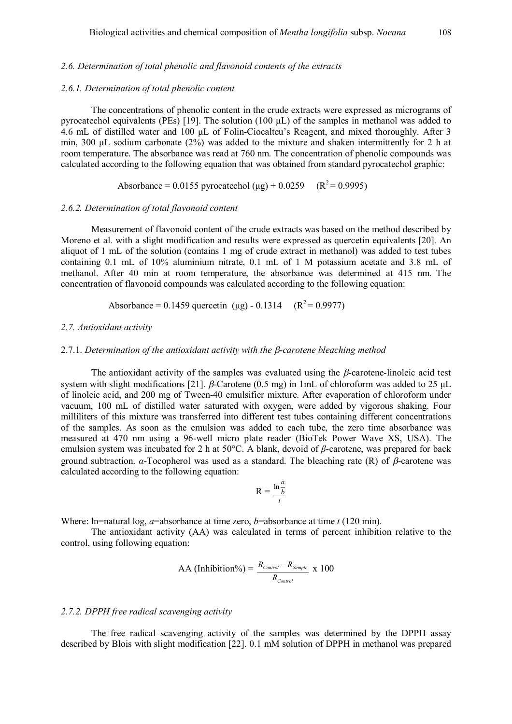#### *2.6.1. Determination of total phenolic content*

The concentrations of phenolic content in the crude extracts were expressed as micrograms of pyrocatechol equivalents (PEs) [19]. The solution (100 μL) of the samples in methanol was added to 4.6 mL of distilled water and 100 μL of Folin-Ciocalteu's Reagent, and mixed thoroughly. After 3 min, 300 μL sodium carbonate (2%) was added to the mixture and shaken intermittently for 2 h at room temperature. The absorbance was read at 760 nm. The concentration of phenolic compounds was calculated according to the following equation that was obtained from standard pyrocatechol graphic:

Absorbance = 0.0155 pyrocatechol ( $\mu$ g) + 0.0259 (R<sup>2</sup> = 0.9995)

#### *2.6.2. Determination of total flavonoid content*

Measurement of flavonoid content of the crude extracts was based on the method described by Moreno et al. with a slight modification and results were expressed as quercetin equivalents [20]. An aliquot of 1 mL of the solution (contains 1 mg of crude extract in methanol) was added to test tubes containing 0.1 mL of 10% aluminium nitrate, 0.1 mL of 1 M potassium acetate and 3.8 mL of methanol. After 40 min at room temperature, the absorbance was determined at 415 nm. The concentration of flavonoid compounds was calculated according to the following equation:

Absorbance = 0.1459 quercetin ( $\mu$ g) - 0.1314 (R<sup>2</sup> = 0.9977)

## *2.7. Antioxidant activity*

#### 2.7.1. *Determination of the antioxidant activity with the -carotene bleaching method*

The antioxidant activity of the samples was evaluated using the  $\beta$ -carotene-linoleic acid test system with slight modifications [21].  $\beta$ -Carotene (0.5 mg) in 1mL of chloroform was added to 25 µL of linoleic acid, and 200 mg of Tween-40 emulsifier mixture. After evaporation of chloroform under vacuum, 100 mL of distilled water saturated with oxygen, were added by vigorous shaking. Four milliliters of this mixture was transferred into different test tubes containing different concentrations of the samples. As soon as the emulsion was added to each tube, the zero time absorbance was measured at 470 nm using a 96-well micro plate reader (BioTek Power Wave XS, USA). The emulsion system was incubated for 2 h at 50°C. A blank, devoid of *β*-carotene, was prepared for back ground subtraction. *α*-Tocopherol was used as a standard. The bleaching rate (R) of  $β$ -carotene was calculated according to the following equation:

$$
R = \frac{\ln \frac{a}{b}}{t}
$$

Where: ln=natural log, *a*=absorbance at time zero, *b*=absorbance at time *t* (120 min).

The antioxidant activity (AA) was calculated in terms of percent inhibition relative to the control, using following equation:

$$
AA (Inhibition\%) = \frac{R_{Control} - R_{Sample}}{R_{Control}} \times 100
$$

## *2.7.2. DPPH free radical scavenging activity*

The free radical scavenging activity of the samples was determined by the DPPH assay described by Blois with slight modification [22]. 0.1 mM solution of DPPH in methanol was prepared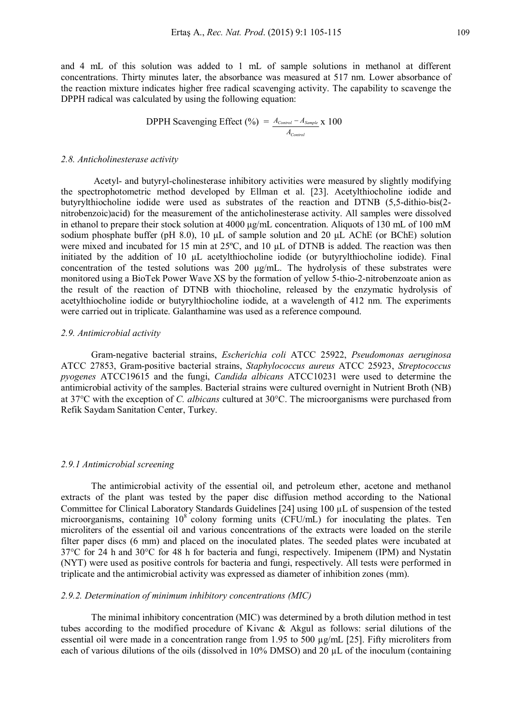and 4 mL of this solution was added to 1 mL of sample solutions in methanol at different concentrations. Thirty minutes later, the absorbance was measured at 517 nm. Lower absorbance of the reaction mixture indicates higher free radical scavenging activity. The capability to scavenge the DPPH radical was calculated by using the following equation:

**DPPH Scavenging Effect** (
$$
\frac{\%}
$$
) =  $\frac{A_{Control} - A_{Sample}}{A_{Control}}$  x 100

#### *2.8. Anticholinesterase activity*

Acetyl- and butyryl-cholinesterase inhibitory activities were measured by slightly modifying the spectrophotometric method developed by Ellman et al. [23]. Acetylthiocholine iodide and butyrylthiocholine iodide were used as substrates of the reaction and DTNB (5,5-dithio-bis(2 nitrobenzoic)acid) for the measurement of the anticholinesterase activity. All samples were dissolved in ethanol to prepare their stock solution at 4000 μg/mL concentration. Aliquots of 130 mL of 100 mM sodium phosphate buffer (pH 8.0), 10 μL of sample solution and 20 μL AChE (or BChE) solution were mixed and incubated for 15 min at 25ºC, and 10 μL of DTNB is added. The reaction was then initiated by the addition of 10 μL acetylthiocholine iodide (or butyrylthiocholine iodide). Final concentration of the tested solutions was 200 μg/mL. The hydrolysis of these substrates were monitored using a BioTek Power Wave XS by the formation of yellow 5-thio-2-nitrobenzoate anion as the result of the reaction of DTNB with thiocholine, released by the enzymatic hydrolysis of acetylthiocholine iodide or butyrylthiocholine iodide, at a wavelength of 412 nm. The experiments were carried out in triplicate. Galanthamine was used as a reference compound.

## *2.9. Antimicrobial activity*

Gram-negative bacterial strains, *Escherichia coli* ATCC 25922, *Pseudomonas aeruginosa* ATCC 27853, Gram-positive bacterial strains, *Staphylococcus aureus* ATCC 25923, *Streptococcus pyogenes* ATCC19615 and the fungi, *Candida albicans* ATCC10231 were used to determine the antimicrobial activity of the samples. Bacterial strains were cultured overnight in Nutrient Broth (NB) at 37°C with the exception of *C. albicans* cultured at 30°C. The microorganisms were purchased from Refik Saydam Sanitation Center, Turkey.

#### *2.9.1 Antimicrobial screening*

The antimicrobial activity of the essential oil, and petroleum ether, acetone and methanol extracts of the plant was tested by the paper disc diffusion method according to the National Committee for Clinical Laboratory Standards Guidelines [24] using 100 µL of suspension of the tested microorganisms, containing 10<sup>8</sup> colony forming units (CFU/mL) for inoculating the plates. Ten microliters of the essential oil and various concentrations of the extracts were loaded on the sterile filter paper discs (6 mm) and placed on the inoculated plates. The seeded plates were incubated at 37°C for 24 h and 30°C for 48 h for bacteria and fungi, respectively. Imipenem (IPM) and Nystatin (NYT) were used as positive controls for bacteria and fungi, respectively. All tests were performed in triplicate and the antimicrobial activity was expressed as diameter of inhibition zones (mm).

## *2.9.2. Determination of minimum inhibitory concentrations (MIC)*

The minimal inhibitory concentration (MIC) was determined by a broth dilution method in test tubes according to the modified procedure of Kivanc & Akgul as follows: serial dilutions of the essential oil were made in a concentration range from 1.95 to 500  $\mu$ g/mL [25]. Fifty microliters from each of various dilutions of the oils (dissolved in 10% DMSO) and 20 µL of the inoculum (containing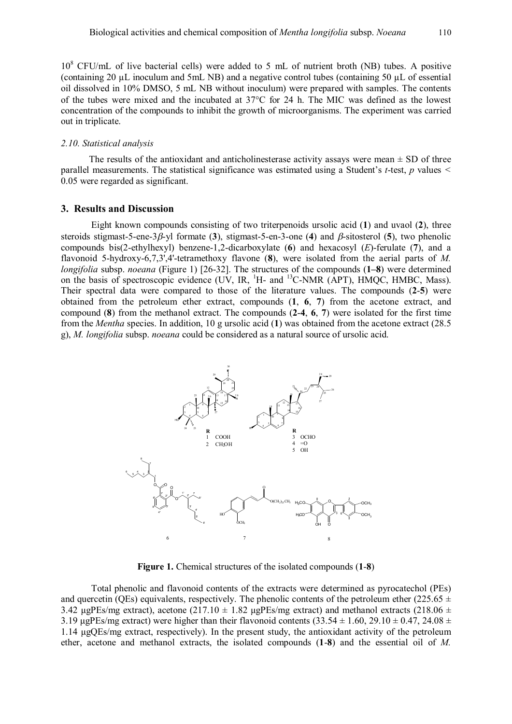10<sup>8</sup> CFU/mL of live bacterial cells) were added to 5 mL of nutrient broth (NB) tubes. A positive (containing 20 µL inoculum and 5mL NB) and a negative control tubes (containing 50 µL of essential oil dissolved in 10% DMSO, 5 mL NB without inoculum) were prepared with samples. The contents of the tubes were mixed and the incubated at  $37^{\circ}$ C for 24 h. The MIC was defined as the lowest concentration of the compounds to inhibit the growth of microorganisms. The experiment was carried out in triplicate.

#### *2.10. Statistical analysis*

The results of the antioxidant and anticholinesterase activity assays were mean  $\pm$  SD of three parallel measurements. The statistical significance was estimated using a Student's *t*-test, *p* values *<* 0.05 were regarded as significant.

### **3. Results and Discussion**

Eight known compounds consisting of two triterpenoids ursolic acid (**1**) and uvaol (**2**), three steroids stigmast-5-ene-3 $\beta$ -yl formate (3), stigmast-5-en-3-one (4) and  $\beta$ -sitosterol (5), two phenolic compounds bis(2-ethylhexyl) benzene-1,2-dicarboxylate (**6**) and hexacosyl (*E*)-ferulate (**7**), and a flavonoid 5-hydroxy-6,7,3',4'-tetramethoxy flavone (**8**), were isolated from the aerial parts of *M. longifolia* subsp. *noeana* (Figure 1) [26-32]. The structures of the compounds (**1–8**) were determined on the basis of spectroscopic evidence (UV, IR, <sup>1</sup>H- and <sup>13</sup>C-NMR (APT), HMQC, HMBC, Mass). Their spectral data were compared to those of the literature values. The compounds (**2**-**5**) were obtained from the petroleum ether extract, compounds (**1**, **6**, **7**) from the acetone extract, and compound (**8**) from the methanol extract. The compounds (**2**-**4**, **6**, **7**) were isolated for the first time from the *Mentha* species. In addition, 10 g ursolic acid (**1**) was obtained from the acetone extract (28.5 g), *M. longifolia* subsp. *noeana* could be considered as a natural source of ursolic acid.



**Figure 1.** Chemical structures of the isolated compounds (**1**-**8**)

Total phenolic and flavonoid contents of the extracts were determined as pyrocatechol (PEs) and quercetin (QEs) equivalents, respectively. The phenolic contents of the petroleum ether (225.65  $\pm$ 3.42 μgPEs/mg extract), acetone (217.10  $\pm$  1.82 μgPEs/mg extract) and methanol extracts (218.06  $\pm$ 3.19 μgPEs/mg extract) were higher than their flavonoid contents  $(33.54 \pm 1.60, 29.10 \pm 0.47, 24.08 \pm 0.00)$ 1.14 μgQEs/mg extract, respectively). In the present study, the antioxidant activity of the petroleum ether, acetone and methanol extracts, the isolated compounds (**1**-**8**) and the essential oil of *M.*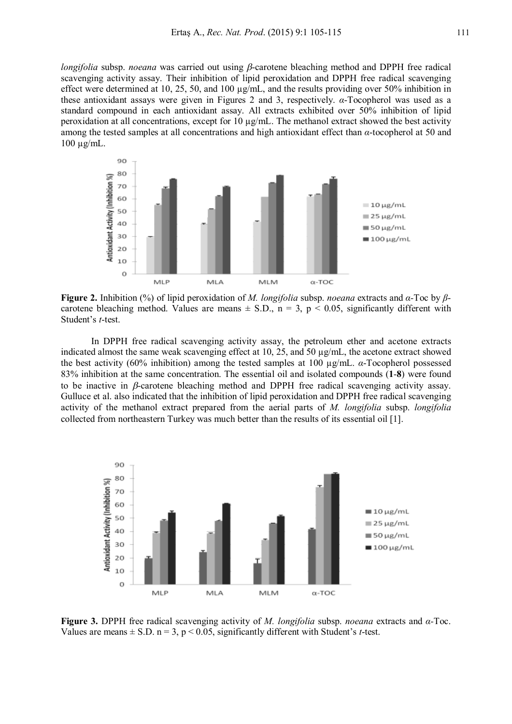*longifolia* subsp. *noeana* was carried out using  $\beta$ -carotene bleaching method and DPPH free radical scavenging activity assay. Their inhibition of lipid peroxidation and DPPH free radical scavenging effect were determined at 10, 25, 50, and 100 µg/mL, and the results providing over 50% inhibition in these antioxidant assays were given in Figures 2 and 3, respectively. *α*-Tocopherol was used as a standard compound in each antioxidant assay. All extracts exhibited over 50% inhibition of lipid peroxidation at all concentrations, except for 10 µg/mL. The methanol extract showed the best activity among the tested samples at all concentrations and high antioxidant effect than *α*-tocopherol at 50 and 100 µg/mL.



**Figure 2.** Inhibition (%) of lipid peroxidation of *M. longifolia* subsp. *noeana* extracts and *α-*Toc by *β*carotene bleaching method. Values are means  $\pm$  S.D., n = 3, p < 0.05, significantly different with Student's *t*-test.

In DPPH free radical scavenging activity assay, the petroleum ether and acetone extracts indicated almost the same weak scavenging effect at 10, 25, and 50 µg/mL, the acetone extract showed the best activity (60% inhibition) among the tested samples at 100 µg/mL. *α*-Tocopherol possessed 83% inhibition at the same concentration. The essential oil and isolated compounds (**1**-**8**) were found to be inactive in  $\beta$ -carotene bleaching method and DPPH free radical scavenging activity assay. Gulluce et al. also indicated that the inhibition of lipid peroxidation and DPPH free radical scavenging activity of the methanol extract prepared from the aerial parts of *M. longifolia* subsp. *longifolia* collected from northeastern Turkey was much better than the results of its essential oil [1].



**Figure 3.** DPPH free radical scavenging activity of *M. longifolia* subsp. *noeana* extracts and *α-*Toc. Values are means  $\pm$  S.D. n = 3, p < 0.05, significantly different with Student's *t*-test.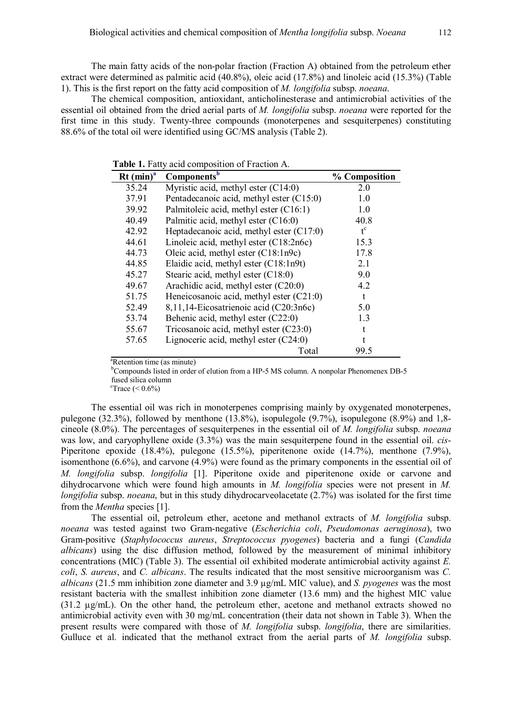The main fatty acids of the non-polar fraction (Fraction A) obtained from the petroleum ether extract were determined as palmitic acid (40.8%), oleic acid (17.8%) and linoleic acid (15.3%) (Table 1). This is the first report on the fatty acid composition of *M. longifolia* subsp. *noeana*.

The chemical composition, antioxidant, anticholinesterase and antimicrobial activities of the essential oil obtained from the dried aerial parts of *M. longifolia* subsp. *noeana* were reported for the first time in this study. Twenty-three compounds (monoterpenes and sesquiterpenes) constituting 88.6% of the total oil were identified using GC/MS analysis (Table 2).

| $Rt (min)^{a}$ | Components <sup>b</sup>                  | % Composition |
|----------------|------------------------------------------|---------------|
| 35.24          | Myristic acid, methyl ester (C14:0)      | 2.0           |
| 37.91          | Pentadecanoic acid, methyl ester (C15:0) | 1.0           |
| 39.92          | Palmitoleic acid, methyl ester (C16:1)   | 1.0           |
| 40.49          | Palmitic acid, methyl ester (C16:0)      | 40.8          |
| 42.92          | Heptadecanoic acid, methyl ester (C17:0) | $t^c$         |
| 44.61          | Linoleic acid, methyl ester $(C18:2n6c)$ | 15.3          |
| 44.73          | Oleic acid, methyl ester $(C18:1n9c)$    | 17.8          |
| 44.85          | Elaidic acid, methyl ester $(C18:1n9t)$  | 2.1           |
| 45.27          | Stearic acid, methyl ester (C18:0)       | 9.0           |
| 49.67          | Arachidic acid, methyl ester (C20:0)     | 4.2           |
| 51.75          | Heneicosanoic acid, methyl ester (C21:0) | t             |
| 52.49          | 8,11,14-Eicosatrienoic acid (C20:3n6c)   | 5.0           |
| 53.74          | Behenic acid, methyl ester (C22:0)       | 1.3           |
| 55.67          | Tricosanoic acid, methyl ester $(C23:0)$ |               |
| 57.65          | Lignoceric acid, methyl ester $(C24:0)$  |               |
|                | Total                                    | 99.5          |

**Table 1.** Fatty acid composition of Fraction A.

<sup>a</sup>Retention time (as minute)

<sup>b</sup>Compounds listed in order of elution from a HP-5 MS column. A nonpolar Phenomenex DB-5 fused silica column

 $\text{``Trace}$  (< 0.6%)

The essential oil was rich in monoterpenes comprising mainly by oxygenated monoterpenes, pulegone (32.3%), followed by menthone (13.8%), isopulegole (9.7%), isopulegone (8.9%) and 1,8 cineole (8.0%). The percentages of sesquiterpenes in the essential oil of *M. longifolia* subsp. *noeana* was low, and caryophyllene oxide (3.3%) was the main sesquiterpene found in the essential oil. *cis*-Piperitone epoxide (18.4%), pulegone (15.5%), piperitenone oxide (14.7%), menthone (7.9%), isomenthone (6.6%), and carvone (4.9%) were found as the primary components in the essential oil of *M. longifolia* subsp. *longifolia* [1]. Piperitone oxide and piperitenone oxide or carvone and dihydrocarvone which were found high amounts in *M. longifolia* species were not present in *M. longifolia* subsp. *noeana*, but in this study dihydrocarveolacetate (2.7%) was isolated for the first time from the *Mentha* species [1].

The essential oil, petroleum ether, acetone and methanol extracts of *M. longifolia* subsp. *noeana* was tested against two Gram-negative (*Escherichia coli*, *Pseudomonas aeruginosa*), two Gram-positive (*Staphylococcus aureus*, *Streptococcus pyogenes*) bacteria and a fungi (*Candida albicans*) using the disc diffusion method, followed by the measurement of minimal inhibitory concentrations (MIC) (Table 3). The essential oil exhibited moderate antimicrobial activity against *E. coli*, *S. aureus*, and *C. albicans*. The results indicated that the most sensitive microorganism was *C. albicans* (21.5 mm inhibition zone diameter and 3.9 µg/mL MIC value), and *S. pyogenes* was the most resistant bacteria with the smallest inhibition zone diameter (13.6 mm) and the highest MIC value (31.2 µg/mL). On the other hand, the petroleum ether, acetone and methanol extracts showed no antimicrobial activity even with 30 mg/mL concentration (their data not shown in Table 3). When the present results were compared with those of *M. longifolia* subsp. *longifolia*, there are similarities. Gulluce et al. indicated that the methanol extract from the aerial parts of *M. longifolia* subsp.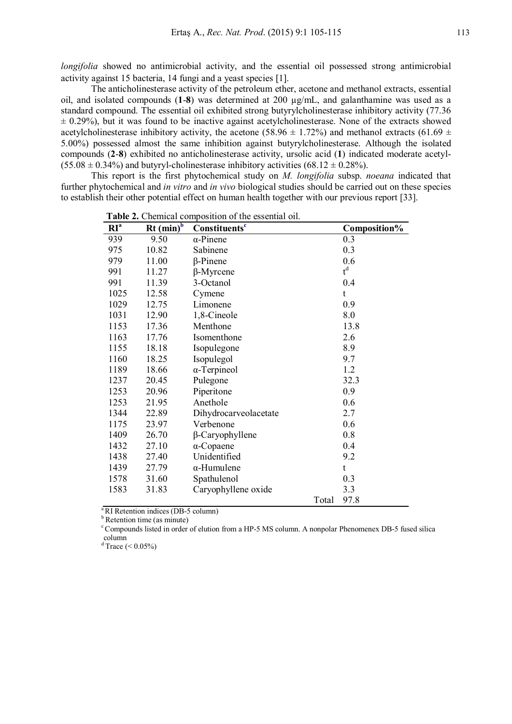*longifolia* showed no antimicrobial activity, and the essential oil possessed strong antimicrobial activity against 15 bacteria, 14 fungi and a yeast species [1].

The anticholinesterase activity of the petroleum ether, acetone and methanol extracts, essential oil, and isolated compounds (**1**-**8**) was determined at 200 µg/mL, and galanthamine was used as a standard compound. The essential oil exhibited strong butyrylcholinesterase inhibitory activity (77.36  $\pm$  0.29%), but it was found to be inactive against acetylcholinesterase. None of the extracts showed acetylcholinesterase inhibitory activity, the acetone (58.96  $\pm$  1.72%) and methanol extracts (61.69  $\pm$ 5.00%) possessed almost the same inhibition against butyrylcholinesterase. Although the isolated compounds (**2**-**8**) exhibited no anticholinesterase activity, ursolic acid (**1**) indicated moderate acetyl-  $(55.08 \pm 0.34\%)$  and butyryl-cholinesterase inhibitory activities  $(68.12 \pm 0.28\%)$ .

This report is the first phytochemical study on *M. longifolia* subsp. *noeana* indicated that further phytochemical and *in vitro* and *in vivo* biological studies should be carried out on these species to establish their other potential effect on human health together with our previous report [33].

| RI <sup>a</sup> | $Rt$ (min) <sup>b</sup> | Constituents <sup>c</sup> |       | Composition% |
|-----------------|-------------------------|---------------------------|-------|--------------|
| 939             | 9.50                    | $\alpha$ -Pinene          |       | 0.3          |
| 975             | 10.82                   | Sabinene                  |       | 0.3          |
| 979             | 11.00                   | $\beta$ -Pinene           |       | 0.6          |
| 991             | 11.27                   | $\beta$ -Myrcene          |       | $t^d$        |
| 991             | 11.39                   | 3-Octanol                 |       | 0.4          |
| 1025            | 12.58                   | Cymene                    |       | t            |
| 1029            | 12.75                   | Limonene                  |       | 0.9          |
| 1031            | 12.90                   | 1,8-Cineole               |       | 8.0          |
| 1153            | 17.36                   | Menthone                  |       | 13.8         |
| 1163            | 17.76                   | Isomenthone               |       | 2.6          |
| 1155            | 18.18                   | Isopulegone               |       | 8.9          |
| 1160            | 18.25                   | Isopulegol                |       | 9.7          |
| 1189            | 18.66                   | $\alpha$ -Terpineol       |       | 1.2          |
| 1237            | 20.45                   | Pulegone                  |       | 32.3         |
| 1253            | 20.96                   | Piperitone                |       | 0.9          |
| 1253            | 21.95                   | Anethole                  |       | 0.6          |
| 1344            | 22.89                   | Dihydrocarveolacetate     |       | 2.7          |
| 1175            | 23.97                   | Verbenone                 |       | 0.6          |
| 1409            | 26.70                   | $\beta$ -Caryophyllene    |       | 0.8          |
| 1432            | 27.10                   | $\alpha$ -Copaene         |       | 0.4          |
| 1438            | 27.40                   | Unidentified              |       | 9.2          |
| 1439            | 27.79                   | $\alpha$ -Humulene        |       | t            |
| 1578            | 31.60                   | Spathulenol               |       | 0.3          |
| 1583            | 31.83                   | Caryophyllene oxide       |       | 3.3          |
|                 |                         |                           | Total | 97.8         |

**Table 2.** Chemical composition of the essential oil.

<sup>a</sup>RI Retention indices (DB-5 column)

<sup>b</sup> Retention time (as minute)

<sup>c</sup> Compounds listed in order of elution from a HP-5 MS column. A nonpolar Phenomenex DB-5 fused silica column

 $d$  Trace ( < 0.05%)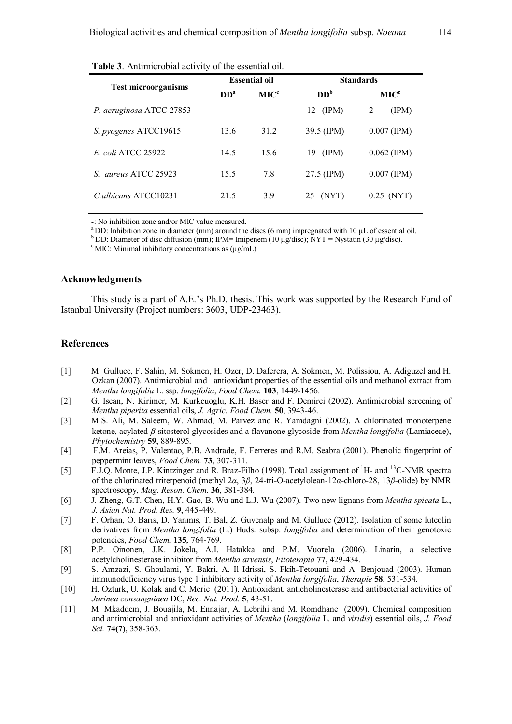|                                | <b>Essential oil</b> |                  | <b>Standards</b> |                  |  |
|--------------------------------|----------------------|------------------|------------------|------------------|--|
| <b>Test microorganisms</b>     | DD <sup>a</sup>      | MIC <sup>c</sup> | DD <sup>b</sup>  | MIC <sup>c</sup> |  |
| P. aeruginosa ATCC 27853       |                      |                  | (IPM)<br>12      | 2<br>(IPM)       |  |
| S. pyogenes ATCC19615          | 13.6                 | 31.2             | 39.5 (IPM)       | $0.007$ (IPM)    |  |
| <i>E. coli</i> ATCC 25922      | 14.5                 | 15.6             | (IPM)<br>19      | $0.062$ (IPM)    |  |
| <i>aureus</i> ATCC 25923<br>S. | 15.5                 | 7.8              | 27.5 (IPM)       | $0.007$ (IPM)    |  |
| C albicans ATCC10231           | 21.5                 | 3.9              | (NYT)<br>25      | $0.25$ (NYT)     |  |

**Table 3**. Antimicrobial activity of the essential oil.

-: No inhibition zone and/or MIC value measured.

<sup>a</sup> DD: Inhibition zone in diameter (mm) around the discs (6 mm) impregnated with 10  $\mu$ L of essential oil.

<sup>b</sup> DD: Diameter of disc diffusion (mm); IPM= Imipenem (10 µg/disc); NYT = Nystatin (30 µg/disc).

 $\textdegree$  MIC: Minimal inhibitory concentrations as ( $\mu$ g/mL)

## **Acknowledgments**

This study is a part of A.E.'s Ph.D. thesis. This work was supported by the Research Fund of Istanbul University (Project numbers: 3603, UDP-23463).

## **References**

- [1] M. Gulluce, F. Sahin, M. Sokmen, H. Ozer, D. Daferera, A. Sokmen, M. Polissiou, A. Adiguzel and H. Ozkan (2007). Antimicrobial and antioxidant properties of the essential oils and methanol extract from *Mentha longifolia* L. ssp. *longifolia*, *Food Chem.* **103**, 1449-1456.
- [2] G. Iscan, N. Kirimer, M. Kurkcuoglu, K.H. Baser and F. Demirci (2002). Antimicrobial screening of *Mentha piperita* essential oils, *J. Agric. Food Chem.* **50**, 3943-46.
- [3] M.S. Ali, M. Saleem, W. Ahmad, M. Parvez and R. Yamdagni (2002). A chlorinated monoterpene ketone, acylated *β*-sitosterol glycosides and a flavanone glycoside from *Mentha longifolia* (Lamiaceae), *Phytochemistry* **59**, 889-895.
- [4] F.M. Areias, P. Valentao, P.B. Andrade, F. Ferreres and R.M. Seabra (2001). Phenolic fingerprint of peppermint leaves, *Food Chem.* **73**, 307-311.
- [5] F.J.Q. Monte, J.P. Kintzinger and R. Braz-Filho (1998). Total assignment of <sup>1</sup>H- and <sup>13</sup>C-NMR spectra of the chlorinated triterpenoid (methyl 2*α*, 3*β*, 24-tri-O-acetylolean-12*α*-chloro-28, 13*β*-olide) by NMR spectroscopy, *Mag. Reson. Chem.* **36**, 381-384.
- [6] J. Zheng, G.T. Chen, H.Y. Gao, B. Wu and L.J. Wu (2007). Two new lignans from *Mentha spicata* L., *J. Asian Nat. Prod. Res.* **9**, 445-449.
- [7] F. Orhan, O. Barıs, D. Yanmıs, T. Bal, Z. Guvenalp and M. Gulluce (2012). Isolation of some luteolin derivatives from *Mentha longifolia* (L.) Huds. subsp. *longifolia* and determination of their genotoxic potencies, *Food Chem.* **135**, 764-769.
- [8] P.P. Oinonen, J.K. Jokela, A.I. Hatakka and P.M. Vuorela (2006). Linarin, a selective acetylcholinesterase inhibitor from *Mentha arvensis*, *Fitoterapia* **77**, 429-434.
- [9] S. Amzazi, S. Ghoulami, Y. Bakri, A. Il Idrissi, S. Fkih-Tetouani and A. Benjouad (2003). Human immunodeficiency virus type 1 inhibitory activity of *Mentha longifolia*, *Therapie* **58**, 531-534.
- [10] H. Ozturk, U. Kolak and C. Meric (2011). Antioxidant, anticholinesterase and antibacterial activities of *Jurinea consanguinea* DC, *Rec. Nat. Prod.* **5**, 43-51.
- [11] M. Mkaddem, J. Bouajila, M. Ennajar, A. Lebrihi and M. Romdhane (2009). Chemical composition and antimicrobial and antioxidant activities of *Mentha* (*longifolia* L. and *viridis*) essential oils, *J. Food Sci.* **74(7)**, 358-363.